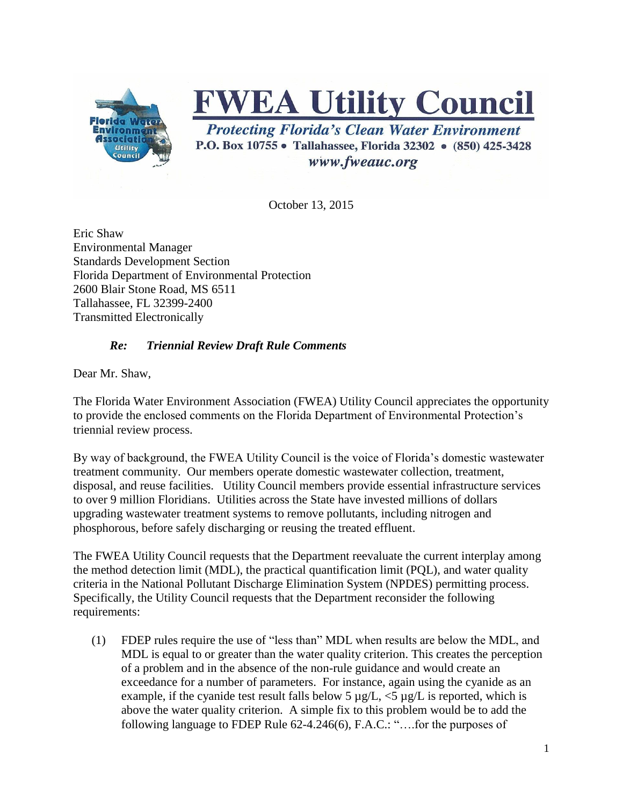

## **FWEA Utility Council**

**Protecting Florida's Clean Water Environment** P.O. Box 10755 • Tallahassee, Florida 32302 • (850) 425-3428 www.fweauc.org

October 13, 2015

Eric Shaw Environmental Manager Standards Development Section Florida Department of Environmental Protection 2600 Blair Stone Road, MS 6511 Tallahassee, FL 32399-2400 Transmitted Electronically

## *Re: Triennial Review Draft Rule Comments*

Dear Mr. Shaw,

The Florida Water Environment Association (FWEA) Utility Council appreciates the opportunity to provide the enclosed comments on the Florida Department of Environmental Protection's triennial review process.

By way of background, the FWEA Utility Council is the voice of Florida's domestic wastewater treatment community. Our members operate domestic wastewater collection, treatment, disposal, and reuse facilities. Utility Council members provide essential infrastructure services to over 9 million Floridians. Utilities across the State have invested millions of dollars upgrading wastewater treatment systems to remove pollutants, including nitrogen and phosphorous, before safely discharging or reusing the treated effluent.

The FWEA Utility Council requests that the Department reevaluate the current interplay among the method detection limit (MDL), the practical quantification limit (PQL), and water quality criteria in the National Pollutant Discharge Elimination System (NPDES) permitting process. Specifically, the Utility Council requests that the Department reconsider the following requirements:

(1) FDEP rules require the use of "less than" MDL when results are below the MDL, and MDL is equal to or greater than the water quality criterion. This creates the perception of a problem and in the absence of the non-rule guidance and would create an exceedance for a number of parameters. For instance, again using the cyanide as an example, if the cyanide test result falls below 5  $\mu$ g/L, <5  $\mu$ g/L is reported, which is above the water quality criterion. A simple fix to this problem would be to add the following language to FDEP Rule 62-4.246(6), F.A.C.: "….for the purposes of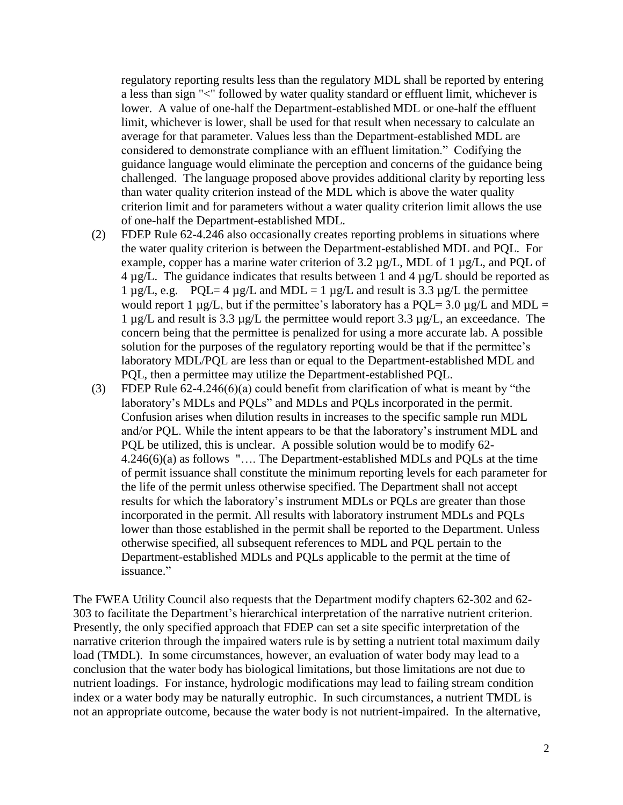regulatory reporting results less than the regulatory MDL shall be reported by entering a less than sign "<" followed by water quality standard or effluent limit, whichever is lower. A value of one-half the Department-established MDL or one-half the effluent limit, whichever is lower, shall be used for that result when necessary to calculate an average for that parameter. Values less than the Department-established MDL are considered to demonstrate compliance with an effluent limitation." Codifying the guidance language would eliminate the perception and concerns of the guidance being challenged. The language proposed above provides additional clarity by reporting less than water quality criterion instead of the MDL which is above the water quality criterion limit and for parameters without a water quality criterion limit allows the use of one-half the Department-established MDL.

- (2) FDEP Rule 62-4.246 also occasionally creates reporting problems in situations where the water quality criterion is between the Department-established MDL and PQL. For example, copper has a marine water criterion of 3.2 µg/L, MDL of 1 µg/L, and PQL of 4 µg/L. The guidance indicates that results between 1 and 4 µg/L should be reported as 1  $\mu$ g/L, e.g. PQL= 4  $\mu$ g/L and MDL = 1  $\mu$ g/L and result is 3.3  $\mu$ g/L the permittee would report 1  $\mu$ g/L, but if the permittee's laboratory has a PQL= 3.0  $\mu$ g/L and MDL = 1 µg/L and result is 3.3 µg/L the permittee would report 3.3 µg/L, an exceedance. The concern being that the permittee is penalized for using a more accurate lab. A possible solution for the purposes of the regulatory reporting would be that if the permittee's laboratory MDL/PQL are less than or equal to the Department-established MDL and PQL, then a permittee may utilize the Department-established PQL.
- (3) FDEP Rule 62-4.246(6)(a) could benefit from clarification of what is meant by "the laboratory's MDLs and PQLs" and MDLs and PQLs incorporated in the permit. Confusion arises when dilution results in increases to the specific sample run MDL and/or PQL. While the intent appears to be that the laboratory's instrument MDL and PQL be utilized, this is unclear. A possible solution would be to modify 62- 4.246(6)(a) as follows "…. The Department-established MDLs and PQLs at the time of permit issuance shall constitute the minimum reporting levels for each parameter for the life of the permit unless otherwise specified. The Department shall not accept results for which the laboratory's instrument MDLs or PQLs are greater than those incorporated in the permit. All results with laboratory instrument MDLs and PQLs lower than those established in the permit shall be reported to the Department. Unless otherwise specified, all subsequent references to MDL and PQL pertain to the Department-established MDLs and PQLs applicable to the permit at the time of issuance."

The FWEA Utility Council also requests that the Department modify chapters 62-302 and 62- 303 to facilitate the Department's hierarchical interpretation of the narrative nutrient criterion. Presently, the only specified approach that FDEP can set a site specific interpretation of the narrative criterion through the impaired waters rule is by setting a nutrient total maximum daily load (TMDL). In some circumstances, however, an evaluation of water body may lead to a conclusion that the water body has biological limitations, but those limitations are not due to nutrient loadings. For instance, hydrologic modifications may lead to failing stream condition index or a water body may be naturally eutrophic. In such circumstances, a nutrient TMDL is not an appropriate outcome, because the water body is not nutrient-impaired. In the alternative,